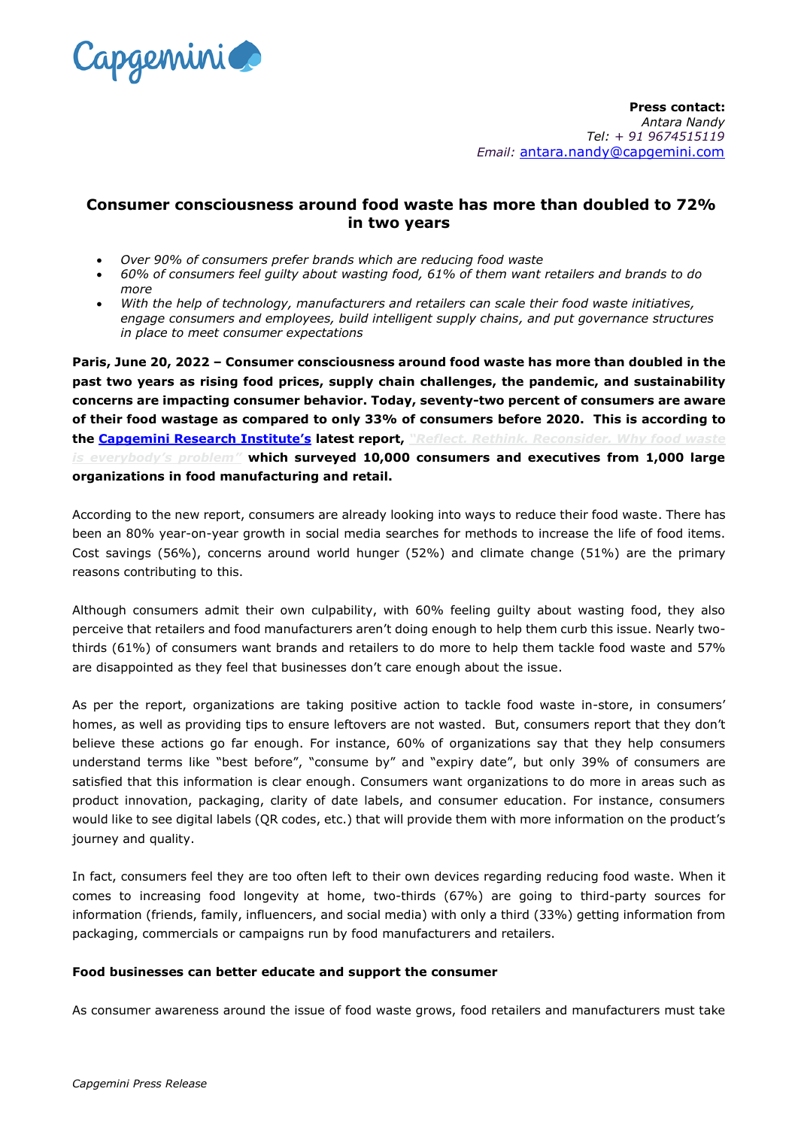

# **Consumer consciousness around food waste has more than doubled to 72% in two years**

- *Over 90% of consumers prefer brands which are reducing food waste*
- *60% of consumers feel guilty about wasting food, 61% of them want retailers and brands to do more*
- *With the help of technology, manufacturers and retailers can scale their food waste initiatives, engage consumers and employees, build intelligent supply chains, and put governance structures in place to meet consumer expectations*

**Paris, June 20, 2022 – Consumer consciousness around food waste has more than doubled in the past two years as rising food prices, supply chain challenges, the pandemic, and sustainability concerns are impacting consumer behavior. Today, seventy-two percent of consumers are aware of their food wastage as compared to only 33% of consumers before 2020. This is according to the [Capgemini Research Institute's](http://www.capgemini.com/research-institute) latest report,** *["Reflect. Rethink. Reconsider. W](https://www.capgemini.com/insights/research-library/food-waste?utm_source=pr&utm_medium=referral&utm_content=cprd_none_none_pressrelease_none&utm_campaign=CPRD_food-waste)hy food waste [is everybody's problem"](https://www.capgemini.com/insights/research-library/food-waste?utm_source=pr&utm_medium=referral&utm_content=cprd_none_none_pressrelease_none&utm_campaign=CPRD_food-waste)* **which surveyed 10,000 consumers and executives from 1,000 large organizations in food manufacturing and retail.**

According to the new report, consumers are already looking into ways to reduce their food waste. There has been an 80% year-on-year growth in social media searches for methods to increase the life of food items. Cost savings (56%), concerns around world hunger (52%) and climate change (51%) are the primary reasons contributing to this.

Although consumers admit their own culpability, with 60% feeling guilty about wasting food, they also perceive that retailers and food manufacturers aren't doing enough to help them curb this issue. Nearly twothirds (61%) of consumers want brands and retailers to do more to help them tackle food waste and 57% are disappointed as they feel that businesses don't care enough about the issue.

As per the report, organizations are taking positive action to tackle food waste in-store, in consumers' homes, as well as providing tips to ensure leftovers are not wasted. But, consumers report that they don't believe these actions go far enough. For instance, 60% of organizations say that they help consumers understand terms like "best before", "consume by" and "expiry date", but only 39% of consumers are satisfied that this information is clear enough. Consumers want organizations to do more in areas such as product innovation, packaging, clarity of date labels, and consumer education. For instance, consumers would like to see digital labels (QR codes, etc.) that will provide them with more information on the product's journey and quality.

In fact, consumers feel they are too often left to their own devices regarding reducing food waste. When it comes to increasing food longevity at home, two-thirds (67%) are going to third-party sources for information (friends, family, influencers, and social media) with only a third (33%) getting information from packaging, commercials or campaigns run by food manufacturers and retailers.

#### **Food businesses can better educate and support the consumer**

As consumer awareness around the issue of food waste grows, food retailers and manufacturers must take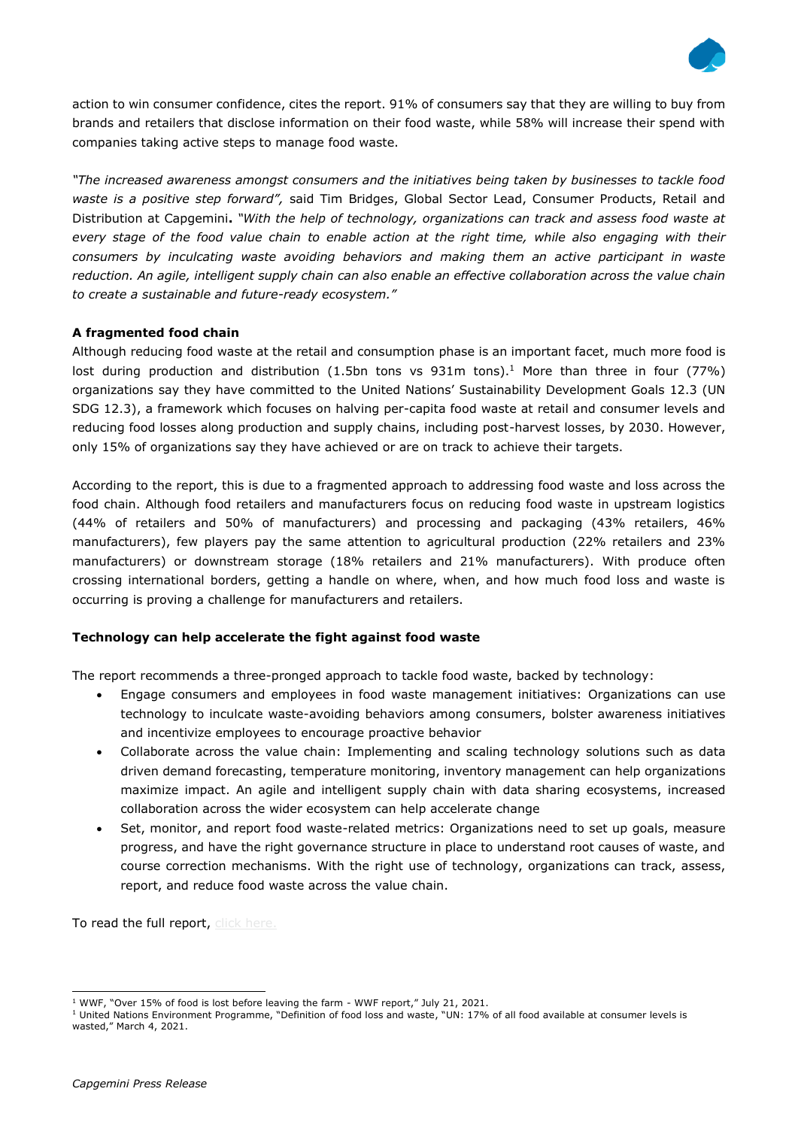

action to win consumer confidence, cites the report. 91% of consumers say that they are willing to buy from brands and retailers that disclose information on their food waste, while 58% will increase their spend with companies taking active steps to manage food waste.

*"The increased awareness amongst consumers and the initiatives being taken by businesses to tackle food waste is a positive step forward",* said Tim Bridges, Global Sector Lead, Consumer Products, Retail and Distribution at Capgemini**.** *"With the help of technology, organizations can track and assess food waste at every stage of the food value chain to enable action at the right time, while also engaging with their consumers by inculcating waste avoiding behaviors and making them an active participant in waste reduction. An agile, intelligent supply chain can also enable an effective collaboration across the value chain to create a sustainable and future-ready ecosystem."*

### **A fragmented food chain**

Although reducing food waste at the retail and consumption phase is an important facet, much more food is lost during production and distribution (1.5bn tons vs  $931m$  tons).<sup>1</sup> More than three in four (77%) organizations say they have committed to the United Nations' Sustainability Development Goals 12.3 (UN SDG 12.3), a framework which focuses on halving per-capita food waste at retail and consumer levels and reducing food losses along production and supply chains, including post-harvest losses, by 2030. However, only 15% of organizations say they have achieved or are on track to achieve their targets.

According to the report, this is due to a fragmented approach to addressing food waste and loss across the food chain. Although food retailers and manufacturers focus on reducing food waste in upstream logistics (44% of retailers and 50% of manufacturers) and processing and packaging (43% retailers, 46% manufacturers), few players pay the same attention to agricultural production (22% retailers and 23% manufacturers) or downstream storage (18% retailers and 21% manufacturers). With produce often crossing international borders, getting a handle on where, when, and how much food loss and waste is occurring is proving a challenge for manufacturers and retailers.

## **Technology can help accelerate the fight against food waste**

The report recommends a three-pronged approach to tackle food waste, backed by technology:

- Engage consumers and employees in food waste management initiatives: Organizations can use technology to inculcate waste-avoiding behaviors among consumers, bolster awareness initiatives and incentivize employees to encourage proactive behavior
- Collaborate across the value chain: Implementing and scaling technology solutions such as data driven demand forecasting, temperature monitoring, inventory management can help organizations maximize impact. An agile and intelligent supply chain with data sharing ecosystems, increased collaboration across the wider ecosystem can help accelerate change
- Set, monitor, and report food waste-related metrics: Organizations need to set up goals, measure progress, and have the right governance structure in place to understand root causes of waste, and course correction mechanisms. With the right use of technology, organizations can track, assess, report, and reduce food waste across the value chain.

To read the full report, click here.

<sup>1</sup> WWF, "Over 15% of food is lost before leaving the farm - WWF report," July 21, 2021.

 $1$  United Nations Environment Programme, "Definition of food loss and waste, "UN: 17% of all food available at consumer levels is wasted," March 4, 2021.